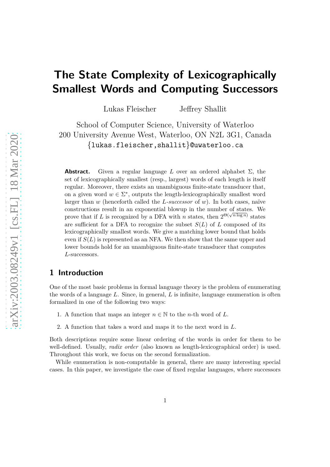# **The State Complexity of Lexicographically Smallest Words and Computing Successors**

Lukas Fleischer Jeffrey Shallit

School of Computer Science, University of Waterloo 200 University Avenue West, Waterloo, ON N2L 3G1, Canada {lukas.fleischer,shallit}@uwaterloo.ca

**Abstract.** Given a regular language L over an ordered alphabet  $\Sigma$ , the set of lexicographically smallest (resp., largest) words of each length is itself regular. Moreover, there exists an unambiguous finite-state transducer that, on a given word  $w \in \Sigma^*$ , outputs the length-lexicographically smallest word larger than *w* (henceforth called the *L*-successor of *w*). In both cases, naïve constructions result in an exponential blowup in the number of states. We prove that if *L* is recognized by a DFA with *n* states, then  $2^{\Theta(\sqrt{n \log n})}$  states are sufficient for a DFA to recognize the subset  $S(L)$  of L composed of its lexicographically smallest words. We give a matching lower bound that holds even if  $S(L)$  is represented as an NFA. We then show that the same upper and lower bounds hold for an unambiguous finite-state transducer that computes *L*-successors.

#### **1 Introduction**

One of the most basic problems in formal language theory is the problem of enumerating the words of a language *L*. Since, in general, *L* is infinite, language enumeration is often formalized in one of the following two ways:

- 1. A function that maps an integer  $n \in \mathbb{N}$  to the *n*-th word of *L*.
- 2. A function that takes a word and maps it to the next word in *L*.

Both descriptions require some linear ordering of the words in order for them to be well-defined. Usually, *radix order* (also known as length-lexicographical order) is used. Throughout this work, we focus on the second formalization.

While enumeration is non-computable in general, there are many interesting special cases. In this paper, we investigate the case of fixed regular languages, where successors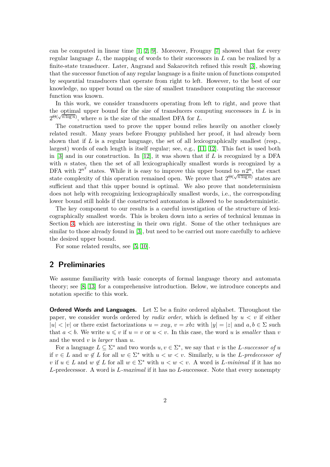can be computed in linear time [\[1,](#page-12-0) [2,](#page-12-1) [9\]](#page-12-2). Moreover, Frougny [\[7\]](#page-12-3) showed that for every regular language *L*, the mapping of words to their successors in *L* can be realized by a finite-state transducer. Later, Angrand and Sakarovitch refined this result [\[3\]](#page-12-4), showing that the successor function of any regular language is a finite union of functions computed by sequential transducers that operate from right to left. However, to the best of our knowledge, no upper bound on the size of smallest transducer computing the successor function was known.

In this work, we consider transducers operating from left to right, and prove that the optimal upper bound for the size of transducers computing successors in *L* is in  $2^{\Theta(\sqrt{n \log n})}$ , where *n* is the size of the smallest DFA for *L*.

The construction used to prove the upper bound relies heavily on another closely related result. Many years before Frougny published her proof, it had already been shown that if *L* is a regular language, the set of all lexicographically smallest (resp., largest) words of each length is itself regular; see, e.g., [\[11,](#page-13-0) [12\]](#page-13-1). This fact is used both in [\[3\]](#page-12-4) and in our construction. In [\[12\]](#page-13-1), it was shown that if *L* is recognized by a DFA with *n* states, then the set of all lexicographically smallest words is recognized by a DFA with  $2^{n^2}$  states. While it is easy to improve this upper bound to  $n2^n$ , the exact state complexity of this operation remained open. We prove that  $2^{\Theta(\sqrt{n \log n})}$  states are sufficient and that this upper bound is optimal. We also prove that nondeterminism does not help with recognizing lexicographically smallest words, i.e., the corresponding lower bound still holds if the constructed automaton is allowed to be nondeterministic.

The key component to our results is a careful investigation of the structure of lexicographically smallest words. This is broken down into a series of technical lemmas in Section [3,](#page-3-0) which are interesting in their own right. Some of the other techniques are similar to those already found in [\[3\]](#page-12-4), but need to be carried out more carefully to achieve the desired upper bound.

For some related results, see [\[5,](#page-12-5) [10\]](#page-13-2).

## **2 Preliminaries**

We assume familiarity with basic concepts of formal language theory and automata theory; see [\[8,](#page-12-6) [13\]](#page-13-3) for a comprehensive introduction. Below, we introduce concepts and notation specific to this work.

**Ordered Words and Languages.** Let  $\Sigma$  be a finite ordered alphabet. Throughout the paper, we consider words ordered by *radix order*, which is defined by *u < v* if either  $|u| < |v|$  or there exist factorizations  $u = xay$ ,  $v = xbz$  with  $|y| = |z|$  and  $a, b \in \Sigma$  such that  $a < b$ . We write  $u \leq v$  if  $u = v$  or  $u < v$ . In this case, the word *u* is *smaller* than *v* and the word *v* is *larger* than *u*.

For a language  $L \subseteq \Sigma^*$  and two words  $u, v \in \Sigma^*$ , we say that *v* is the *L*-successor of *u* if  $v \in L$  and  $w \notin L$  for all  $w \in \Sigma^*$  with  $u < w < v$ . Similarly, *u* is the *L*-predecessor of *v* if  $u \in L$  and  $w \notin L$  for all  $w \in \Sigma^*$  with  $u < w < v$ . A word is *L-minimal* if it has no *L*-predecessor. A word is *L-maximal* if it has no *L*-successor. Note that every nonempty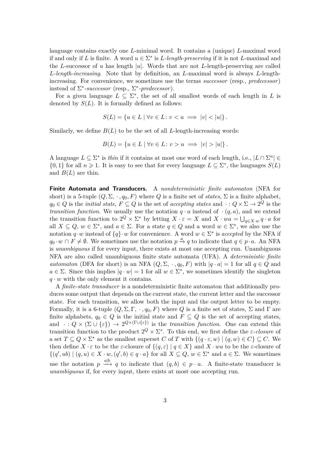language contains exactly one *L*-minimal word. It contains a (unique) *L*-maximal word if and only if *L* is finite. A word  $u \in \Sigma^*$  is *L*-length-preserving if it is not *L*-maximal and the *L*-successor of *u* has length  $|u|$ . Words that are not *L*-length-preserving are called *L-length-increasing*. Note that by definition, an *L*-maximal word is always *L*-lengthincreasing. For convenience, we sometimes use the terms *successor* (resp., *predecessor*) instead of  $\Sigma^*$ -successor (resp.,  $\Sigma^*$ -predecessor).

For a given language  $L \subseteq \Sigma^*$ , the set of all smallest words of each length in L is denoted by  $S(L)$ . It is formally defined as follows:

$$
S(L) = \{ u \in L \mid \forall v \in L \colon v < u \implies |v| < |u| \}
$$

Similarly, we define  $B(L)$  to be the set of all *L*-length-increasing words:

$$
B(L) = \{ u \in L \mid \forall v \in L \colon v > u \implies |v| > |u| \}.
$$

A language  $L \subseteq \Sigma^*$  is *thin* if it contains at most one word of each length, i.e.,  $|L \cap \Sigma^n|$  $\{0,1\}$  for all  $n \geq 1$ . It is easy to see that for every language  $L \subseteq \Sigma^*$ , the languages  $S(L)$ and  $B(L)$  are thin.

**Finite Automata and Transducers.** A *nondeterministic finite automaton* (NFA for short) is a 5-tuple  $(Q, \Sigma, \cdot, q_0, F)$  where  $Q$  is a finite set of *states*,  $\Sigma$  is a finite alphabet,  $q_0 \in Q$  is the *initial state*,  $F \subseteq Q$  is the set of *accepting states* and  $\cdot: Q \times \Sigma \to 2^Q$  is the *transition function*. We usually use the notation  $q \cdot a$  instead of  $\cdot (q, a)$ , and we extend the transition function to  $2^Q \times \Sigma^*$  by letting  $X \cdot \varepsilon = X$  and  $X \cdot wa = \bigcup_{q \in X} \cdot w q \cdot a$  for all  $X \subseteq Q$ ,  $w \in \Sigma^*$ , and  $a \in \Sigma$ . For a state  $q \in Q$  and a word  $w \in \Sigma^*$ , we also use the notation  $q \cdot w$  instead of  $\{q\} \cdot w$  for convenience. A word  $w \in \Sigma^*$  is *accepted* by the NFA if  $q_0 \cdot w \cap F \neq \emptyset$ . We sometimes use the notation  $p \stackrel{a}{\rightarrow} q$  to indicate that  $q \in p \cdot a$ . An NFA is *unambiguous* if for every input, there exists at most one accepting run. Unambiguous NFA are also called unambiguous finite state automata (UFA). A *deterministic finite automaton* (DFA for short) is an NFA  $(Q, \Sigma, \cdot, q_0, F)$  with  $|q \cdot a| = 1$  for all  $q \in Q$  and  $a \in \Sigma$ . Since this implies  $|q \cdot w| = 1$  for all  $w \in \Sigma^*$ , we sometimes identify the singleton  $q \cdot w$  with the only element it contains.

A *finite-state transducer* is a nondeterministic finite automaton that additionally produces some output that depends on the current state, the current letter and the successor state. For each transition, we allow both the input and the output letter to be empty. Formally, it is a 6-tuple (*Q,* Σ*,* Γ*,* · *, q*0*, F*) where *Q* is a finite set of states, Σ and Γ are finite alphabets,  $q_0 \in Q$  is the initial state and  $F \subseteq Q$  is the set of accepting states, and  $\cdot: Q \times (\Sigma \cup \{\varepsilon\}) \to 2^{Q \times (\Gamma \cup \{\varepsilon\})}$  is the *transition function*. One can extend this transition function to the product  $2^Q \times \Sigma^*$ . To this end, we first define the *ε-closure* of a set  $T \subseteq Q \times \Sigma^*$  as the smallest superset *C* of *T* with  $\{(q \cdot \varepsilon, w) \mid (q, w) \in C\} \subseteq C$ . We then define  $X \cdot \varepsilon$  to be the  $\varepsilon$ -closure of  $\{(q, \varepsilon) \mid q \in X\}$  and  $X \cdot wa$  to be the  $\varepsilon$ -closure of  $\{(q',\overline{u}) \mid (q,\overline{u}) \in X \cdot \overline{w}, (q',\overline{b}) \in q \cdot \overline{a}\}$  for all  $X \subseteq Q, w \in \Sigma^*$  and  $\overline{a} \in \Sigma$ . We sometimes use the notation  $p \xrightarrow{a|b} q$  to indicate that  $(q, b) \in p \cdot a$ . A finite-state transducer is *unambiguous* if, for every input, there exists at most one accepting run.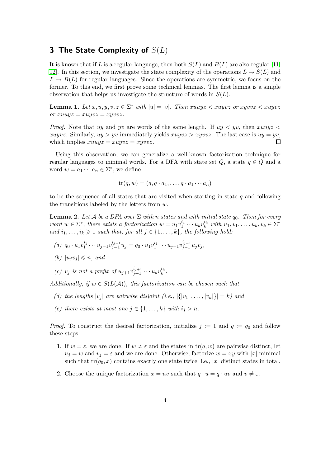## <span id="page-3-0"></span>**3 The State Complexity of** *S*(*L*)

It is known that if *L* is a regular language, then both  $S(L)$  and  $B(L)$  are also regular [\[11,](#page-13-0) [12\]](#page-13-1). In this section, we investigate the state complexity of the operations  $L \mapsto S(L)$  and  $L \mapsto B(L)$  for regular languages. Since the operations are symmetric, we focus on the former. To this end, we first prove some technical lemmas. The first lemma is a simple observation that helps us investigate the structure of words in *S*(*L*).

<span id="page-3-5"></span>**Lemma 1.** Let  $x, u, y, v, z \in \Sigma^*$  with  $|u| = |v|$ . Then  $xuuyz < xuyvz$  or  $xyvz < xuyvz$  $or xuuyz = xuyvz = xyvvz.$ 

*Proof.* Note that *uy* and *yv* are words of the same length. If *uy < yv*, then *xuuyz < xuyvz*. Similarly,  $uy > yv$  immediately yields  $xuyvz > xyvyz$ . The last case is  $uy = yv$ , which implies  $xuuyz = xuyvz = xyvyz$ .  $\Box$ 

Using this observation, we can generalize a well-known factorization technique for regular languages to minimal words. For a DFA with state set  $Q$ , a state  $q \in Q$  and a word  $w = a_1 \cdots a_n \in \Sigma^*$ , we define

$$
\mathrm{tr}(q,w)=(q,q\cdot a_1,\ldots,q\cdot a_1\cdots a_n)
$$

to be the sequence of all states that are visited when starting in state *q* and following the transitions labeled by the letters from *w*.

**Lemma 2.** Let A be a DFA over  $\Sigma$  with *n* states and with initial state  $q_0$ . Then for every word  $w \in \Sigma^*$ , there exists a factorization  $w = u_1v_1^{i_1} \cdots u_kv_k^{i_k}$  with  $u_1, v_1, \ldots, u_k, v_k \in \Sigma^*$ *and*  $i_1, \ldots, i_k \geq 1$  *such that, for all*  $j \in \{1, \ldots, k\}$ *, the following hold:* 

- <span id="page-3-7"></span><span id="page-3-4"></span>(a)  $q_0 \cdot u_1 v_1^{i_1} \cdots u_{j-1} v_{j-1}^{i_{j-1}} u_j = q_0 \cdot u_1 v_1^{i_1} \cdots u_{j-1} v_{j-1}^{i_{j-1}} u_j v_j,$
- <span id="page-3-6"></span>*(b)*  $|u_j v_j| \leq n$ *, and*
- (c)  $v_j$  *is not a prefix of*  $u_{j+1}v_{j+1}^{i_{j+1}}\cdots u_kv_k^{i_k}$ .

<span id="page-3-2"></span>*Additionally, if*  $w \in S(L(\mathcal{A}))$ *, this factorization can be chosen such that* 

- <span id="page-3-3"></span>*(d) the lengths*  $|v_i|$  *are pairwise disjoint (i.e.,*  $|\{|v_1|, \ldots, |v_k|\}| = k$ *) and*
- *(e)* there exists at most one  $j \in \{1, \ldots, k\}$  with  $i_j > n$ .

<span id="page-3-1"></span>*Proof.* To construct the desired factorization, initialize  $j := 1$  and  $q := q_0$  and follow these steps:

- 1. If  $w = \varepsilon$ , we are done. If  $w \neq \varepsilon$  and the states in  $tr(q, w)$  are pairwise distinct, let  $u_j = w$  and  $v_j = \varepsilon$  and we are done. Otherwise, factorize  $w = xy$  with |*x*| minimal such that  $tr(q_0, x)$  contains exactly one state twice, i.e., |x| distinct states in total.
- 2. Choose the unique factorization  $x = uv$  such that  $q \cdot u = q \cdot uv$  and  $v \neq \varepsilon$ .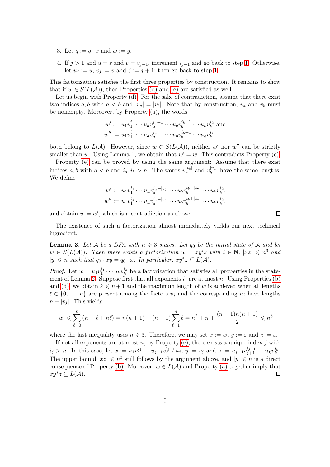- 3. Let  $q := q \cdot x$  and  $w := y$ .
- 4. If  $j > 1$  and  $u = \varepsilon$  and  $v = v_{j-1}$ , increment  $i_{j-1}$  and go back to step [1.](#page-3-1) Otherwise, let  $u_j := u$ ,  $v_j := v$  and  $j := j + 1$ ; then go back to step [1.](#page-3-1)

This factorization satisfies the first three properties by construction. It remains to show that if  $w \in S(L(\mathcal{A}))$ , then Properties [\(d\)](#page-3-2) and [\(e\)](#page-3-3) are satisfied as well.

Let us begin with Property [\(d\).](#page-3-2) For the sake of contradiction, assume that there exist two indices a, b with  $a < b$  and  $|v_a| = |v_b|$ . Note that by construction,  $v_a$  and  $v_b$  must be nonempty. Moreover, by Property [\(a\),](#page-3-4) the words

$$
w' := u_1 v_1^{i_1} \cdots u_a v_a^{i_a+1} \cdots u_b v_b^{i_b-1} \cdots u_k v_k^{i_k}
$$
 and  

$$
w'' := u_1 v_1^{i_1} \cdots u_a v_a^{i_a-1} \cdots u_b v_b^{i_b+1} \cdots u_k v_k^{i_k}
$$

both belong to  $L(\mathcal{A})$ . However, since  $w \in S(L(\mathcal{A}))$ , neither w' nor w'' can be strictly smaller than *w*. Using Lemma [1,](#page-3-5) we obtain that  $w' = w$ . This contradicts Property [\(c\).](#page-3-6)

Property [\(e\)](#page-3-3) can be proved by using the same argument: Assume that there exist indices *a, b* with  $a < b$  and  $i_a$ ,  $i_b > n$ . The words  $v_a^{|v_b|}$  and  $v_b^{|v_a|}$  have the same lengths. We define

$$
w' := u_1 v_1^{i_1} \cdots u_a v_a^{i_a + |v_b|} \cdots u_b v_b^{i_b - |v_a|} \cdots u_k v_k^{i_k},
$$
  

$$
w'' := u_1 v_1^{i_1} \cdots u_a v_a^{i_a - |v_b|} \cdots u_b v_b^{i_b + |v_a|} \cdots u_k v_k^{i_k},
$$

and obtain  $w = w'$ , which is a contradiction as above.

The existence of such a factorization almost immediately yields our next technical ingredient.

 $\Box$ 

<span id="page-4-0"></span>**Lemma 3.** Let A be a DFA with  $n \geq 3$  states. Let  $q_0$  be the initial state of A and let  $w \in S(L(\mathcal{A}))$ *. Then there exists a factorization*  $w = xy^i z$  with  $i \in \mathbb{N}$ ,  $|xz| \leqslant n^3$  and  $|y| \le n$  *such that*  $q_0 \cdot xy = q_0 \cdot x$ *. In particular,*  $xy^*z \subseteq L(\mathcal{A})$ *.* 

*Proof.* Let  $w = u_1 v_1^{i_1} \cdots u_k v_k^{i_k}$  be a factorization that satisfies all properties in the state-ment of Lemma [2.](#page-3-3) Suppose first that all exponents  $i_j$  are at most *n*. Using Properties [\(b\)](#page-3-7) and [\(d\),](#page-3-2) we obtain  $k \leq n+1$  and the maximum length of *w* is achieved when all lengths  $\ell \in \{0, \ldots, n\}$  are present among the factors  $v_j$  and the corresponding  $u_j$  have lengths  $n - |v_i|$ . This yields

$$
|w| \leq \sum_{\ell=0}^{n} (n - \ell + n\ell) = n(n+1) + (n-1) \sum_{\ell=1}^{n} \ell = n^2 + n + \frac{(n-1)n(n+1)}{2} \leq n^3
$$

where the last inequality uses  $n \ge 3$ . Therefore, we may set  $x := w, y := \varepsilon$  and  $z := \varepsilon$ .

If not all exponents are at most *n*, by Property [\(e\),](#page-3-3) there exists a unique index *j* with  $i_j > n$ . In this case, let  $x := u_1 v_1^{i_1} \cdots u_{j-1} v_{j-1}^{i_{j-1}} u_j$ ,  $y := v_j$  and  $z := u_{j+1} v_{j+1}^{i_{j+1}} \cdots u_k v_k^{i_k}$ . The upper bound  $|xz| \leqslant n^3$  still follows by the argument above, and  $|y| \leqslant n$  is a direct consequence of Property [\(b\).](#page-3-7) Moreover,  $w \in L(\mathcal{A})$  and Property [\(a\)](#page-3-4) together imply that  $xy^*z \subseteq L(\mathcal{A}).$  $\Box$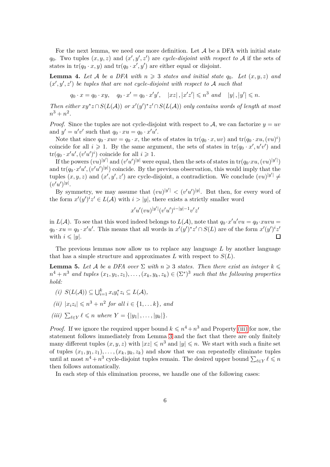For the next lemma, we need one more definition. Let  $A$  be a DFA with initial state *q*<sub>0</sub>. Two tuples  $(x, y, z)$  and  $(x', y', z')$  are *cycle-disjoint with respect to* A if the sets of states in  $tr(q_0 \cdot x, y)$  and  $tr(q_0 \cdot x', y')$  are either equal or disjoint.

<span id="page-5-1"></span>**Lemma 4.** Let A be a DFA with  $n \geq 3$  states and initial state  $q_0$ . Let  $(x, y, z)$  and  $(x', y', z')$  be tuples that are not cycle-disjoint with respect to A such that

$$
q_0 \cdot x = q_0 \cdot xy
$$
,  $q_0 \cdot x' = q_0 \cdot x'y'$ ,  $|xz|, |x'z'| \leq n^3$  and  $|y|, |y'| \leq n$ .

*Then either*  $xy^*z \cap S(L(\mathcal{A}))$  *or*  $x'(y')^*z' \cap S(L(\mathcal{A}))$  *only contains words of length at most*  $n^3 + n^2$ .

*Proof.* Since the tuples are not cycle-disjoint with respect to A, we can factorize  $y = uv$ and  $y' = u'v'$  such that  $q_0 \cdot xu = q_0 \cdot x'u'.$ 

Note that since  $q_0 \cdot xuv = q_0 \cdot x$ , the sets of states in  $\text{tr}(q_0 \cdot x, uv)$  and  $\text{tr}(q_0 \cdot xu, (vu)^i)$ coincide for all  $i \geqslant 1$ . By the same argument, the sets of states in  $tr(q_0 \cdot x', u'v')$  and  $tr(q_0 \cdot x'u', (v'u')^i)$  coincide for all  $i \geqslant 1$ .

If the powers  $(vu)^{|y'|}$  and  $(v'u')^{|y|}$  were equal, then the sets of states in  $tr(q_0 x u, (vu)^{|y'|})$ and  $tr(q_0 \cdot x' u', (v' u')^{|y|})$  coincide. By the previous observation, this would imply that the tuples  $(x, y, z)$  and  $(x', y', z')$  are cycle-disjoint, a contradiction. We conclude  $(vu)^{|y'|} \neq$  $(v'u')^{|y|}.$ 

By symmetry, we may assume that  $(vu)^{|y'|} < (v'u')^{|y|}$ . But then, for every word of the form  $x'(y')^i z' \in L(\mathcal{A})$  with  $i > |y|$ , there exists a strictly smaller word

$$
x'u'(vu)^{|y'|}(v'u')^{i-|y|-1}v'z'
$$

in  $L(\mathcal{A})$ . To see that this word indeed belongs to  $L(\mathcal{A})$ , note that  $q_0 \cdot x' u' v u = q_0 \cdot x u v u =$  $q_0 \cdot xu = q_0 \cdot x'u'$ . This means that all words in  $x'(y')^*z' \cap S(L)$  are of the form  $x'(y')^*z'$  $\Box$ with  $i \leqslant |y|$ .

The previous lemmas now allow us to replace any language *L* by another language that has a simple structure and approximates  $L$  with respect to  $S(L)$ .

**Lemma 5.** Let A be a DFA over  $\Sigma$  with  $n \geq 3$  states. Then there exist an integer  $k \leqslant$  $n^4 + n^3$  and tuples  $(x_1, y_1, z_1), \ldots, (x_k, y_k, z_k) \in (\Sigma^*)^3$  such that the following properties *hold:*

- <span id="page-5-2"></span> $(i)$   $S(L(\mathcal{A})) \subseteq \bigcup_{i=1}^{k} x_i y_i^* z_i \subseteq L(\mathcal{A}),$
- <span id="page-5-0"></span> $(iii)$   $|x_iz_i| \leq n^3 + n^2$  *for all*  $i \in \{1, ..., k\}$ *, and*
- $(iii)$   $\sum_{\ell \in Y} \ell \leq n$  *where*  $Y = \{ |y_1|, \ldots, |y_k| \}.$

*Proof.* If we ignore the required upper bound  $k \leq n^4 + n^3$  and Property [\(iii\)](#page-5-0) for now, the statement follows immediately from Lemma [3](#page-4-0) and the fact that there are only finitely many different tuples  $(x, y, z)$  with  $|xz| \leqslant n^3$  and  $|y| \leqslant n$ . We start with such a finite set of tuples  $(x_1, y_1, z_1), \ldots, (x_k, y_k, z_k)$  and show that we can repeatedly eliminate tuples until at most  $n^4 + n^3$  cycle-disjoint tuples remain. The desired upper bound  $\sum_{\ell \in Y} \ell \leq n$ then follows automatically.

In each step of this elimination process, we handle one of the following cases: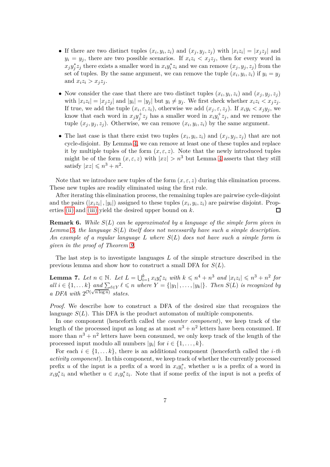- If there are two distinct tuples  $(x_i, y_i, z_i)$  and  $(x_j, y_j, z_j)$  with  $|x_i z_i| = |x_j z_j|$  and  $y_i = y_j$ , there are two possible scenarios. If  $x_i z_i \leq x_j z_j$ , then for every word in  $x_j y_j^* z_j$  there exists a smaller word in  $x_i y_i^* z_i$  and we can remove  $(x_j, y_j, z_j)$  from the set of tuples. By the same argument, we can remove the tuple  $(x_i, y_i, z_i)$  if  $y_i = y_j$ and  $x_i z_i > x_j z_j$ .
- Now consider the case that there are two distinct tuples  $(x_i, y_i, z_i)$  and  $(x_j, y_j, z_j)$ with  $|x_i z_i| = |x_j z_j|$  and  $|y_i| = |y_j|$  but  $y_i \neq y_j$ . We first check whether  $x_i z_i < x_j z_j$ . If true, we add the tuple  $(x_i, \varepsilon, z_i)$ , otherwise we add  $(x_j, \varepsilon, z_j)$ . If  $x_i y_i < x_j y_j$ , we know that each word in  $x_j y_j^+ z_j$  has a smaller word in  $x_i y_i^+ z_j$ , and we remove the tuple  $(x_j, y_j, z_j)$ . Otherwise, we can remove  $(x_i, y_i, z_i)$  by the same argument.
- The last case is that there exist two tuples  $(x_i, y_i, z_i)$  and  $(x_j, y_j, z_j)$  that are not cycle-disjoint. By Lemma [4,](#page-5-1) we can remove at least one of these tuples and replace it by multiple tuples of the form  $(x, \varepsilon, z)$ . Note that the newly introduced tuples might be of the form  $(x, \varepsilon, z)$  with  $|xz| > n^3$  but Lemma [4](#page-5-1) asserts that they still satisfy  $|xz| \leqslant n^3 + n^2$ .

Note that we introduce new tuples of the form  $(x, \varepsilon, z)$  during this elimination process. These new tuples are readily eliminated using the first rule.

After iterating this elimination process, the remaining tuples are pairwise cycle-disjoint and the pairs  $(|x_i z_i|, |y_i|)$  assigned to these tuples  $(x_i, y_i, z_i)$  are pairwise disjoint. Properties [\(ii\)](#page-5-2) and [\(iii\)](#page-5-0) yield the desired upper bound on *k*.  $\Box$ 

**Remark 6.** *While S*(*L*) *can be approximated by a language of the simple form given in Lemma [5,](#page-5-0) the language S*(*L*) *itself does not necessarily have such a simple description. An example of a regular language L where S*(*L*) *does not have such a simple form is given in the proof of Theorem [9.](#page-7-0)*

The last step is to investigate languages *L* of the simple structure described in the previous lemma and show how to construct a small DFA for *S*(*L*).

<span id="page-6-0"></span>**Lemma 7.** Let  $n \in \mathbb{N}$ . Let  $L = \bigcup_{i=1}^{k} x_i y_i^* z_i$  with  $k \leqslant n^4 + n^3$  and  $|x_i z_i| \leqslant n^3 + n^2$  for  $all \ i \in \{1, \ldots k\} \ and \ \sum_{\ell \in Y} \ell \leqslant n \ where \ Y = \{|y_1|, \ldots, |y_k|\}.$  Then  $S(L)$  is recognized by *a DFA with*  $2^{\mathcal{O}(\sqrt{n \log n})}$  *states.* 

*Proof.* We describe how to construct a DFA of the desired size that recognizes the language  $S(L)$ . This DFA is the product automaton of multiple components.

In one component (henceforth called the *counter component*), we keep track of the length of the processed input as long as at most  $n^3 + n^2$  letters have been consumed. If more than  $n^3 + n^2$  letters have been consumed, we only keep track of the length of the processed input modulo all numbers  $|y_i|$  for  $i \in \{1, ..., k\}$ .

For each  $i \in \{1, \ldots k\}$ , there is an additional component (henceforth called the *i*-th *activity component*). In this component, we keep track of whether the currently processed prefix *u* of the input is a prefix of a word in  $x_i y_i^*$ , whether *u* is a prefix of a word in  $x_i y_i^* z_i$  and whether  $u \in x_i y_i^* z_i$ . Note that if some prefix of the input is not a prefix of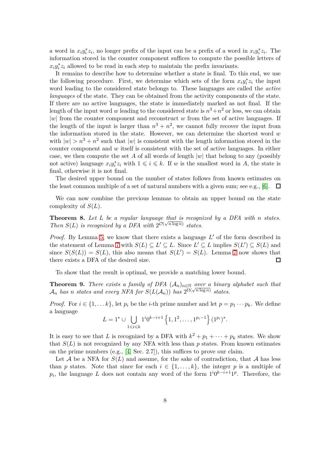a word in  $x_i y_i^* z_i$ , no longer prefix of the input can be a prefix of a word in  $x_i y_i^* z_i$ . The information stored in the counter component suffices to compute the possible letters of  $x_i y_i^* z_i$  allowed to be read in each step to maintain the prefix invariants.

It remains to describe how to determine whether a state is final. To this end, we use the following procedure. First, we determine which sets of the form  $x_i y_i^* z_i$  the input word leading to the considered state belongs to. These languages are called the *active languages* of the state. They can be obtained from the activity components of the state. If there are no active languages, the state is immediately marked as not final. If the length of the input word *w* leading to the considered state is  $n^3 + n^2$  or less, we can obtain |*w*| from the counter component and reconstruct *w* from the set of active languages. If the length of the input is larger than  $n^3 + n^2$ , we cannot fully recover the input from the information stored in the state. However, we can determine the shortest word *w* with  $|w| > n^3 + n^2$  such that  $|w|$  is consistent with the length information stored in the counter component and *w* itself is consistent with the set of active languages. In either case, we then compute the set *A* of all words of length |*w*| that belong to any (possibly not active) language  $x_i y_i^* z_i$  with  $1 \leq i \leq k$ . If *w* is the smallest word in *A*, the state is final, otherwise it is not final.

The desired upper bound on the number of states follows from known estimates on the least common multiple of a set of natural numbers with a given sum; see e.g., [\[6\]](#page-12-7).  $\Box$ 

We can now combine the previous lemmas to obtain an upper bound on the state complexity of *S*(*L*).

<span id="page-7-1"></span>**Theorem 8.** *Let L be a regular language that is recognized by a DFA with n states. Then*  $S(L)$  *is recognized by a DFA with*  $2^{\mathcal{O}(\sqrt{n \log n})}$  *states.* 

*Proof.* By Lemma [5,](#page-5-0) we know that there exists a language L' of the form described in the statement of Lemma [7](#page-6-0) with  $S(L) \subseteq L' \subseteq L$ . Since  $L' \subseteq L$  implies  $S(L') \subseteq S(L)$  and since  $S(S(L)) = S(L)$ , this also means that  $S(L') = S(L)$ . Lemma [7](#page-6-0) now shows that there exists a DFA of the desired size.  $\Box$ 

To show that the result is optimal, we provide a matching lower bound.

<span id="page-7-0"></span>**Theorem 9.** *There exists a family of DFA*  $(A_n)_{n \in \mathbb{N}}$  *over a binary alphabet such that*  $A_n$  *has n states and every NFA for*  $S(L(A_n))$  *has*  $2^{\Omega(\sqrt{n \log n})}$  *states.* 

*Proof.* For  $i \in \{1, \ldots k\}$ , let  $p_i$  be the *i*-th prime number and let  $p = p_1 \cdots p_k$ . We define a language

$$
L = 1^* \cup \bigcup_{1 \leq i \leq k} 1^i 0^{k-i+1} \left\{ 1, 1^2, \dots, 1^{p_i - 1} \right\} (1^{p_i})^*.
$$

It is easy to see that *L* is recognized by a DFA with  $k^2 + p_1 + \cdots + p_k$  states. We show that  $S(L)$  is not recognized by any NFA with less than  $p$  states. From known estimates on the prime numbers (e.g.,  $[4, \text{Sec. 2.7}])$ , this suffices to prove our claim.

Let  $A$  be a NFA for  $S(L)$  and assume, for the sake of contradiction, that  $A$  has less than *p* states. Note that since for each  $i \in \{1, ..., k\}$ , the integer *p* is a multiple of  $p_i$ , the language *L* does not contain any word of the form  $1^i0^{k-i+1}1^p$ . Therefore, the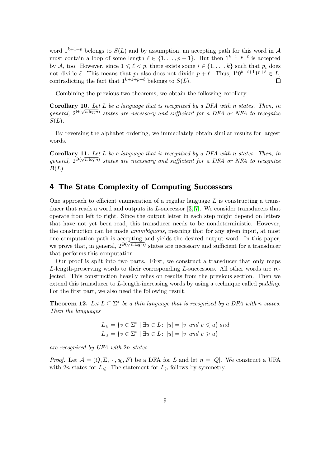word  $1^{k+1+p}$  belongs to  $S(L)$  and by assumption, an accepting path for this word in A must contain a loop of some length  $\ell \in \{1, \ldots, p-1\}$ . But then  $1^{k+1+p+\ell}$  is accepted by A, too. However, since  $1 \leq \ell \leq p$ , there exists some  $i \in \{1, \ldots, k\}$  such that  $p_i$  does not divide  $\ell$ . This means that  $p_i$  also does not divide  $p + \ell$ . Thus,  $1^i 0^{k-i+1} 1^{p+\ell} \in L$ , contradicting the fact that  $1^{k+1+p+\ell}$  belongs to  $S(L)$ .  $\Box$ 

Combining the previous two theorems, we obtain the following corollary.

**Corollary 10.** *Let L be a language that is recognized by a DFA with n states. Then, in*  $general, 2^{\Theta(\sqrt{n \log n})}$  states are necessary and sufficient for a DFA or NFA to recognize *S*(*L*)*.*

By reversing the alphabet ordering, we immediately obtain similar results for largest words.

**Corollary 11.** *Let L be a language that is recognized by a DFA with n states. Then, in general,*  $2^{\Theta(\sqrt{n \log n})}$  *states are necessary and sufficient for a DFA or NFA to recognize B*(*L*)*.*

### **4 The State Complexity of Computing Successors**

One approach to efficient enumeration of a regular language *L* is constructing a transducer that reads a word and outputs its *L*-successor [\[3,](#page-12-4) [7\]](#page-12-3). We consider transducers that operate from left to right. Since the output letter in each step might depend on letters that have not yet been read, this transducer needs to be nondeterministic. However, the construction can be made *unambiguous*, meaning that for any given input, at most one computation path is accepting and yields the desired output word. In this paper, we prove that, in general,  $2^{\Theta(\sqrt{n \log n})}$  states are necessary and sufficient for a transducer that performs this computation.

Our proof is split into two parts. First, we construct a transducer that only maps *L*-length-preserving words to their corresponding *L*-successors. All other words are rejected. This construction heavily relies on results from the previous section. Then we extend this transducer to *L*-length-increasing words by using a technique called *padding*. For the first part, we also need the following result.

<span id="page-8-0"></span>**Theorem 12.** Let  $L \subseteq \Sigma^*$  be a thin language that is recognized by a DFA with *n* states. *Then the languages*

$$
L_{\leq} = \{ v \in \Sigma^* \mid \exists u \in L : \ |u| = |v| \ and \ v \leq u \} \ and
$$
  

$$
L_{\geq} = \{ v \in \Sigma^* \mid \exists u \in L : \ |u| = |v| \ and \ v \geq u \}
$$

*are recognized by UFA with* 2*n states.*

*Proof.* Let  $\mathcal{A} = (Q, \Sigma, \cdot, q_0, F)$  be a DFA for *L* and let  $n = |Q|$ . We construct a UFA with 2*n* states for  $L_{\leq}$ . The statement for  $L_{\geq}$  follows by symmetry.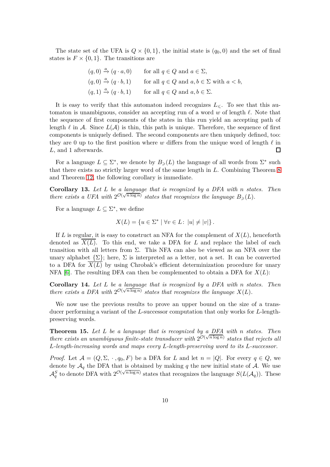The state set of the UFA is  $Q \times \{0,1\}$ , the initial state is  $(q_0, 0)$  and the set of final states is  $F \times \{0, 1\}$ . The transitions are

$$
(q,0) \xrightarrow{a} (q \cdot a, 0) \qquad \text{for all } q \in Q \text{ and } a \in \Sigma,
$$
  
\n
$$
(q,0) \xrightarrow{a} (q \cdot b, 1) \qquad \text{for all } q \in Q \text{ and } a, b \in \Sigma \text{ with } a < b,
$$
  
\n
$$
(q,1) \xrightarrow{a} (q \cdot b, 1) \qquad \text{for all } q \in Q \text{ and } a, b \in \Sigma.
$$

It is easy to verify that this automaton indeed recognizes  $L_{\leqslant}$ . To see that this automaton is unambiguous, consider an accepting run of a word *w* of length *ℓ*. Note that the sequence of first components of the states in this run yield an accepting path of length  $\ell$  in A. Since  $L(\mathcal{A})$  is thin, this path is unique. Therefore, the sequence of first components is uniquely defined. The second components are then uniquely defined, too: they are 0 up to the first position where *w* differs from the unique word of length *ℓ* in  $\Box$ *L*, and 1 afterwards.

For a language  $L \subseteq \Sigma^*$ , we denote by  $B_\geqslant(L)$  the language of all words from  $\Sigma^*$  such that there exists no strictly larger word of the same length in *L*. Combining Theorem [8](#page-7-1) and Theorem [12,](#page-8-0) the following corollary is immediate.

<span id="page-9-0"></span>**Corollary 13.** *Let L be a language that is recognized by a DFA with n states. Then there exists a UFA with*  $2^{\mathcal{O}(\sqrt{n \log n}})$  *states that recognizes the language*  $B_{\geqslant}(L)$ *.* 

For a language  $L \subseteq \Sigma^*$ , we define

$$
X(L) = \{ u \in \Sigma^* \mid \forall v \in L : \left| u \right| \neq \left| v \right| \}.
$$

If *L* is regular, it is easy to construct an NFA for the complement of  $X(L)$ , henceforth denoted as *X*(*L*). To this end, we take a DFA for *L* and replace the label of each transition with all letters from  $\Sigma$ . This NFA can also be viewed as an NFA over the unary alphabet  $\{\Sigma\}$ ; here,  $\Sigma$  is interpreted as a letter, not a set. It can be converted to a DFA for  $\overline{X(L)}$  by using Chrobak's efficient determinization procedure for unary NFA [\[6\]](#page-12-7). The resulting DFA can then be complemented to obtain a DFA for *X*(*L*):

<span id="page-9-1"></span>**Corollary 14.** *Let L be a language that is recognized by a DFA with n states. Then there exists a DFA with*  $2^{\mathcal{O}(\sqrt{n \log n})}$  *states that recognizes the language*  $X(L)$ *.* 

We now use the previous results to prove an upper bound on the size of a transducer performing a variant of the *L*-successor computation that only works for *L*-lengthpreserving words.

<span id="page-9-2"></span>**Theorem 15.** *Let L be a language that is recognized by a DFA with n states. Then there exists an unambiguous finite-state transducer with*  $2^{\mathcal{O}(\sqrt{n \log n})}$  *states that rejects all L-length-increasing words and maps every L-length-preserving word to its L-successor.*

*Proof.* Let  $\mathcal{A} = (Q, \Sigma, \cdot, q_0, F)$  be a DFA for *L* and let  $n = |Q|$ . For every  $q \in Q$ , we denote by  $A_q$  the DFA that is obtained by making q the new initial state of A. We use  $\mathcal{A}_q^S$  to denote DFA with  $2^{\mathcal{O}(\sqrt{n \log n})}$  states that recognizes the language  $S(L(\mathcal{A}_q))$ . These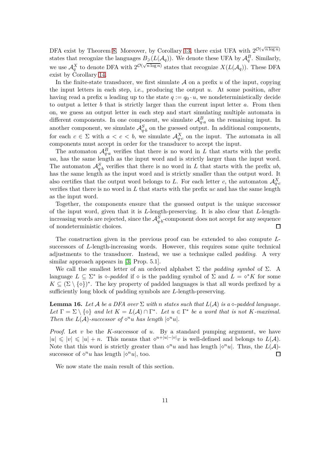DFA exist by Theorem [8.](#page-7-1) Moreover, by Corollary [13,](#page-9-0) there exist UFA with  $2^{\mathcal{O}(\sqrt{n \log n}})$ states that recognize the languages  $B_{\geqslant}(L(\mathcal{A}_q))$ . We denote these UFA by  $\mathcal{A}_q^B$ . Similarly, we use  $\mathcal{A}_q^X$  to denote DFA with  $2^{\mathcal{O}(\sqrt{n \log n})}$  states that recognize  $X(L(\mathcal{A}_q))$ . These DFA exist by Corollary [14.](#page-9-1)

In the finite-state transducer, we first simulate  $A$  on a prefix  $u$  of the input, copying the input letters in each step, i.e., producing the output *u*. At some position, after having read a prefix *u* leading up to the state  $q := q_0 \cdot u$ , we nondeterministically decide to output a letter *b* that is strictly larger than the current input letter *a*. From then on, we guess an output letter in each step and start simulating multiple automata in different components. In one component, we simulate  $\mathcal{A}_{q\cdot a}^B$  on the remaining input. In another component, we simulate  $\mathcal{A}_{q \cdot b}^S$  on the guessed output. In additional components, for each  $c \in \Sigma$  with  $a < c < b$ , we simulate  $\mathcal{A}_{q.c}^X$  on the input. The automata in all components must accept in order for the transducer to accept the input.

The automaton  $\mathcal{A}_{q,a}^B$  verifies that there is no word in *L* that starts with the prefix *ua*, has the same length as the input word and is strictly larger than the input word. The automaton  $\mathcal{A}_{q,b}^S$  verifies that there is no word in *L* that starts with the prefix *ub*, has the same length as the input word and is strictly smaller than the output word. It also certifies that the output word belongs to *L*. For each letter *c*, the automaton  $\mathcal{A}_{q.c}^X$ verifies that there is no word in *L* that starts with the prefix *uc* and has the same length as the input word.

Together, the components ensure that the guessed output is the unique successor of the input word, given that it is *L*-length-preserving. It is also clear that *L*-lengthincreasing words are rejected, since the  $\mathcal{A}_{q \cdot b}^S$ -component does not accept for any sequence of nondeterministic choices.  $\Box$ 

The construction given in the previous proof can be extended to also compute *L*successors of *L*-length-increasing words. However, this requires some quite technical adjustments to the transducer. Instead, we use a technique called *padding*. A very similar approach appears in [\[3,](#page-12-4) Prop. 5.1].

We call the smallest letter of an ordered alphabet  $\Sigma$  the *padding symbol* of  $\Sigma$ . A language  $L \subseteq \Sigma^*$  is  $\diamond$ -*padded* if  $\diamond$  is the padding symbol of  $\Sigma$  and  $L = \diamond^* K$  for some  $K \subseteq (\Sigma \setminus \{\diamond\})^*$ . The key property of padded languages is that all words prefixed by a sufficiently long block of padding symbols are *L*-length-preserving.

<span id="page-10-0"></span>**Lemma 16.** Let A be a DFA over  $\Sigma$  with *n* states such that  $L(\mathcal{A})$  is a  $\diamond$ -padded language. Let  $\Gamma = \Sigma \setminus \{\infty\}$  and let  $K = L(\mathcal{A}) \cap \Gamma^*$ . Let  $u \in \Gamma^*$  be a word that is not K-maximal. *Then the*  $L(A)$ *-successor of*  $\Diamond^n u$  *has length*  $|\Diamond^n u|$ *.* 

*Proof.* Let *v* be the *K*-successor of *u*. By a standard pumping argument, we have  $|u| \leqslant |v| \leqslant |u| + n$ . This means that  $\diamond^{n+|u|-|v|}v$  is well-defined and belongs to  $L(\mathcal{A})$ . Note that this word is strictly greater than  $\diamond^n u$  and has length  $| \diamond^n u |$ . Thus, the  $L(A)$ successor of  $\diamond^n u$  has length  $| \diamond^n u |$ , too. П

We now state the main result of this section.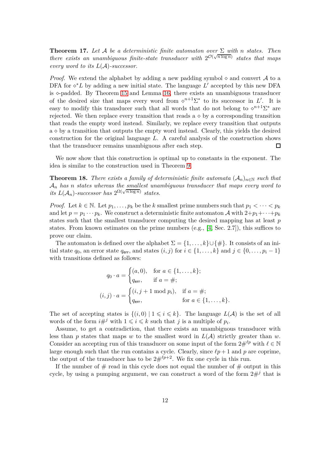**Theorem 17.** *Let* A *be a deterministic finite automaton over* Σ *with n states. Then there exists an unambiguous finite-state transducer with*  $2^{\mathcal{O}(\sqrt{n \log n})}$  *states that maps every word to its L*(A)*-successor.*

*Proof.* We extend the alphabet by adding a new padding symbol  $\diamond$  and convert A to a DFA for  $\diamond^* L$  by adding a new initial state. The language  $L'$  accepted by this new DFA is  $\diamond$ -padded. By Theorem [15](#page-9-2) and Lemma [16,](#page-10-0) there exists an unambiguous transducer of the desired size that maps every word from  $\circ^{n+1}\Sigma^*$  to its successor in *L'*. It is easy to modify this transducer such that all words that do not belong to  $\circ^{n+1}\Sigma^*$  are rejected. We then replace every transition that reads  $a \diamond by a$  corresponding transition that reads the empty word instead. Similarly, we replace every transition that outputs  $a \diamond$  by a transition that outputs the empty word instead. Clearly, this yields the desired construction for the original language *L*. A careful analysis of the construction shows that the transducer remains unambiguous after each step.  $\Box$ 

We now show that this construction is optimal up to constants in the exponent. The idea is similar to the construction used in Theorem [9.](#page-7-0)

**Theorem 18.** *There exists a family of deterministic finite automata*  $(A_n)_{n\in\mathbb{N}}$  *such that* A*<sup>n</sup> has n states whereas the smallest unambiguous transducer that maps every word to*  $i$ *ts*  $L(A_n)$ -successor has  $2^{\Omega(\sqrt{n \log n})}$  states.

*Proof.* Let  $k \in \mathbb{N}$ . Let  $p_1, \ldots, p_k$  be the *k* smallest prime numbers such that  $p_1 < \cdots < p_k$ and let  $p = p_1 \cdots p_k$ . We construct a deterministic finite automaton A with  $2+p_1+\cdots+p_k$ states such that the smallest transducer computing the desired mapping has at least *p* states. From known estimates on the prime numbers (e.g., [\[4,](#page-12-8) Sec. 2.7]), this suffices to prove our claim.

The automaton is defined over the alphabet  $\Sigma = \{1, \ldots, k\} \cup \{\#\}$ . It consists of an initial state  $q_0$ , an error state  $q_{\text{err}}$ , and states  $(i, j)$  for  $i \in \{1, \ldots, k\}$  and  $j \in \{0, \ldots, p_i - 1\}$ with transitions defined as follows:

$$
q_0 \cdot a = \begin{cases} (a, 0), & \text{for } a \in \{1, ..., k\}; \\ q_{\text{err}}, & \text{if } a = \#; \end{cases}
$$

$$
(i, j) \cdot a = \begin{cases} (i, j + 1 \mod p_i), & \text{if } a = \#; \\ q_{\text{err}}, & \text{for } a \in \{1, ..., k\}. \end{cases}
$$

The set of accepting states is  $\{(i, 0) | 1 \leq i \leq k\}$ . The language  $L(\mathcal{A})$  is the set of all words of the form  $i\#^j$  with  $1 \leq i \leq k$  such that *j* is a multiple of  $p_i$ .

Assume, to get a contradiction, that there exists an unambiguous transducer with less than  $p$  states that maps  $w$  to the smallest word in  $L(A)$  strictly greater than  $w$ . Consider an accepting run of this transducer on some input of the form  $2\#^{\ell p}$  with  $\ell \in \mathbb{N}$ large enough such that the run contains a cycle. Clearly, since  $\ell p + 1$  and p are coprime, the output of the transducer has to be  $2\#^{\ell p+2}$ . We fix one cycle in this run.

If the number of  $#$  read in this cycle does not equal the number of  $#$  output in this cycle, by using a pumping argument, we can construct a word of the form  $2\#<sup>j</sup>$  that is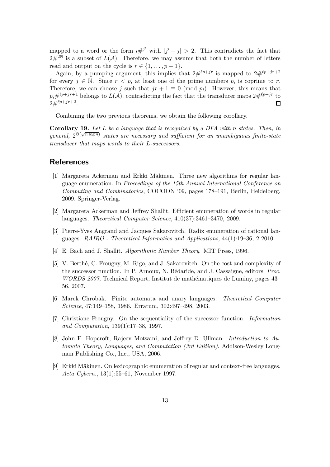mapped to a word or the form  $i\#^{j'}$  with  $|j'-j| > 2$ . This contradicts the fact that  $2\#^{2\mathbb{N}}$  is a subset of  $L(\mathcal{A})$ . Therefore, we may assume that both the number of letters read and output on the cycle is  $r \in \{1, \ldots, p-1\}.$ 

Again, by a pumping argument, this implies that  $2\#^{\ell p+jr}$  is mapped to  $2\#^{\ell p+jr+2}$ for every  $j \in \mathbb{N}$ . Since  $r < p$ , at least one of the prime numbers  $p_i$  is coprime to r. Therefore, we can choose *j* such that  $jr + 1 \equiv 0 \pmod{p_i}$ . However, this means that  $p_i \#^{\ell p+jr+1}$  belongs to  $L(\mathcal{A})$ , contradicting the fact that the transducer maps  $2 \#^{\ell p+jr}$  to  $2\#^{\ell p+jr+2}.$  $\Box$ 

Combining the two previous theorems, we obtain the following corollary.

**Corollary 19.** *Let L be a language that is recognized by a DFA with n states. Then, in general,*  $2^{\Theta(\sqrt{n \log n})}$  *states are necessary and sufficient for an unambiguous finite-state transducer that maps words to their L-successors.*

#### <span id="page-12-0"></span>**References**

- [1] Margareta Ackerman and Erkki Mäkinen. Three new algorithms for regular language enumeration. In *Proceedings of the 15th Annual International Conference on Computing and Combinatorics*, COCOON '09, pages 178–191, Berlin, Heidelberg, 2009. Springer-Verlag.
- <span id="page-12-1"></span>[2] Margareta Ackerman and Jeffrey Shallit. Efficient enumeration of words in regular languages. *Theoretical Computer Science*, 410(37):3461–3470, 2009.
- <span id="page-12-4"></span>[3] Pierre-Yves Angrand and Jacques Sakarovitch. Radix enumeration of rational languages. *RAIRO - Theoretical Informatics and Applications*, 44(1):19–36, 2 2010.
- <span id="page-12-8"></span><span id="page-12-5"></span>[4] E. Bach and J. Shallit. *Algorithmic Number Theory*. MIT Press, 1996.
- [5] V. Berthé, C. Frougny, M. Rigo, and J. Sakarovitch. On the cost and complexity of the successor function. In P. Arnoux, N. B´edaride, and J. Cassaigne, editors, *Proc. WORDS 2007*, Technical Report, Institut de mathématiques de Luminy, pages 43– 56, 2007.
- <span id="page-12-7"></span><span id="page-12-3"></span>[6] Marek Chrobak. Finite automata and unary languages. *Theoretical Computer Science*, 47:149–158, 1986. Erratum, 302:497–498, 2003.
- [7] Christiane Frougny. On the sequentiality of the successor function. *Information and Computation*, 139(1):17–38, 1997.
- <span id="page-12-6"></span>[8] John E. Hopcroft, Rajeev Motwani, and Jeffrey D. Ullman. *Introduction to Automata Theory, Languages, and Computation (3rd Edition)*. Addison-Wesley Longman Publishing Co., Inc., USA, 2006.
- <span id="page-12-2"></span>[9] Erkki Mäkinen. On lexicographic enumeration of regular and context-free languages. *Acta Cybern.*, 13(1):55–61, November 1997.